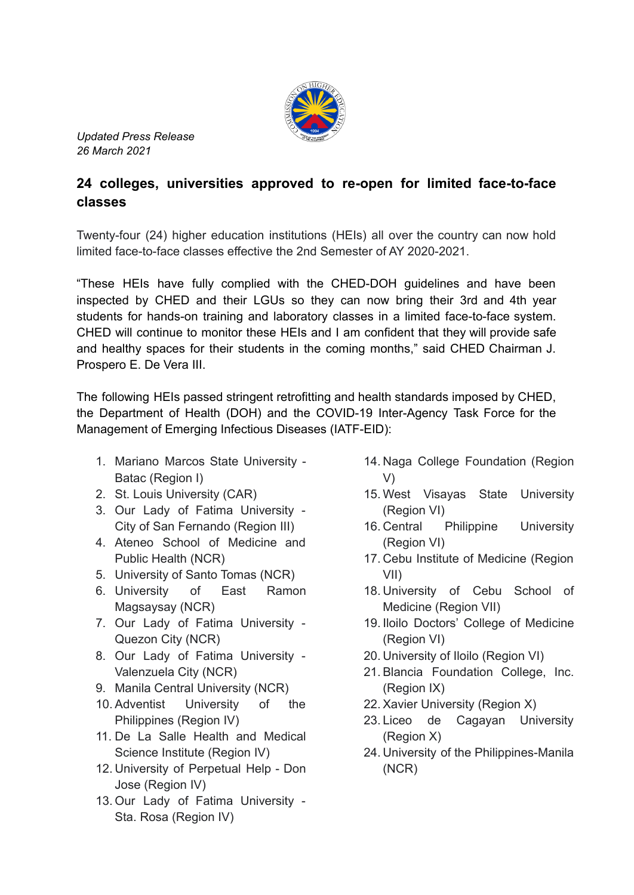

*Updated Press Release 26 March 2021*

## **24 colleges, universities approved to re-open for limited face-to-face classes**

Twenty-four (24) higher education institutions (HEIs) all over the country can now hold limited face-to-face classes effective the 2nd Semester of AY 2020-2021.

"These HEIs have fully complied with the CHED-DOH guidelines and have been inspected by CHED and their LGUs so they can now bring their 3rd and 4th year students for hands-on training and laboratory classes in a limited face-to-face system. CHED will continue to monitor these HEIs and I am confident that they will provide safe and healthy spaces for their students in the coming months," said CHED Chairman J. Prospero E. De Vera III.

The following HEIs passed stringent retrofitting and health standards imposed by CHED, the Department of Health (DOH) and the COVID-19 Inter-Agency Task Force for the Management of Emerging Infectious Diseases (IATF-EID):

- 1. Mariano Marcos State University Batac (Region I)
- 2. St. Louis University (CAR)
- 3. Our Lady of Fatima University City of San Fernando (Region III)
- 4. Ateneo School of Medicine and Public Health (NCR)
- 5. University of Santo Tomas (NCR)
- 6. University of East Ramon Magsaysay (NCR)
- 7. Our Lady of Fatima University Quezon City (NCR)
- 8. Our Lady of Fatima University Valenzuela City (NCR)
- 9. Manila Central University (NCR)
- 10. Adventist University of the Philippines (Region IV)
- 11. De La Salle Health and Medical Science Institute (Region IV)
- 12. University of Perpetual Help Don Jose (Region IV)
- 13. Our Lady of Fatima University Sta. Rosa (Region IV)
- 14. Naga College Foundation (Region V)
- 15. West Visayas State University (Region VI)
- 16. Central Philippine University (Region VI)
- 17. Cebu Institute of Medicine (Region VII)
- 18. University of Cebu School of Medicine (Region VII)
- 19. Iloilo Doctors' College of Medicine (Region VI)
- 20. University of Iloilo (Region VI)
- 21. Blancia Foundation College, Inc. (Region IX)
- 22. Xavier University (Region X)
- 23. Liceo de Cagayan University (Region X)
- 24. University of the Philippines-Manila (NCR)